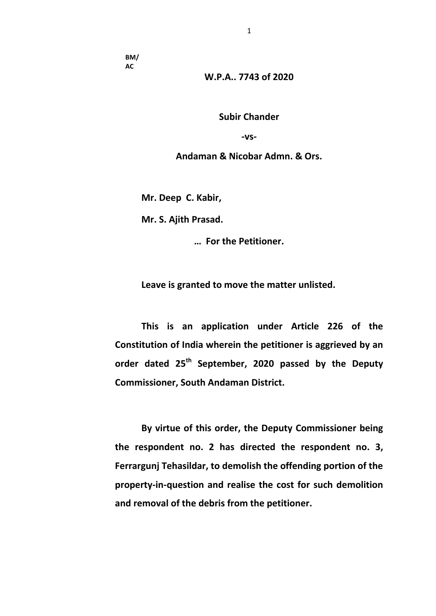**BM/ AC**

**W.P.A.. 7743 of 2020**

**Subir Chander**

**-vs-**

**Andaman & Nicobar Admn. & Ors.** 

**Mr. Deep C. Kabir,** 

**Mr. S. Ajith Prasad.**

**… For the Petitioner.** 

**Leave is granted to move the matter unlisted.** 

**This is an application under Article 226 of the Constitution of India wherein the petitioner is aggrieved by an order dated 25th September, 2020 passed by the Deputy Commissioner, South Andaman District.**

**By virtue of this order, the Deputy Commissioner being the respondent no. 2 has directed the respondent no. 3, Ferrargunj Tehasildar, to demolish the offending portion of the property-in-question and realise the cost for such demolition and removal of the debris from the petitioner.**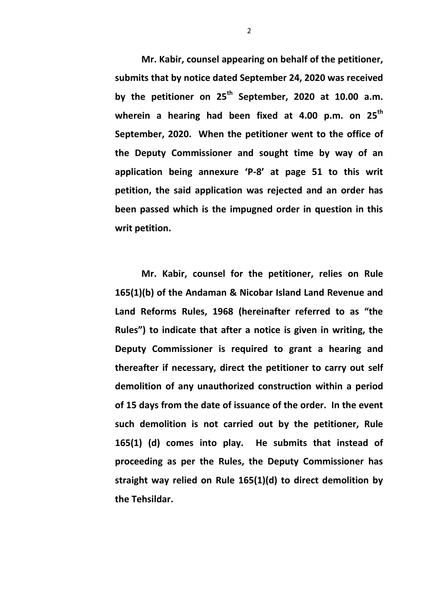**Mr. Kabir, counsel appearing on behalf of the petitioner, submits that by notice dated September 24, 2020 was received by the petitioner on 25th September, 2020 at 10.00 a.m. wherein a hearing had been fixed at 4.00 p.m. on 25th September, 2020. When the petitioner went to the office of the Deputy Commissioner and sought time by way of an application being annexure 'P-8' at page 51 to this writ petition, the said application was rejected and an order has been passed which is the impugned order in question in this writ petition.** 

**Mr. Kabir, counsel for the petitioner, relies on Rule 165(1)(b) of the Andaman & Nicobar Island Land Revenue and Land Reforms Rules, 1968 (hereinafter referred to as "the Rules") to indicate that after a notice is given in writing, the Deputy Commissioner is required to grant a hearing and thereafter if necessary, direct the petitioner to carry out self demolition of any unauthorized construction within a period of 15 days from the date of issuance of the order. In the event such demolition is not carried out by the petitioner, Rule 165(1) (d) comes into play. He submits that instead of proceeding as per the Rules, the Deputy Commissioner has straight way relied on Rule 165(1)(d) to direct demolition by the Tehsildar.**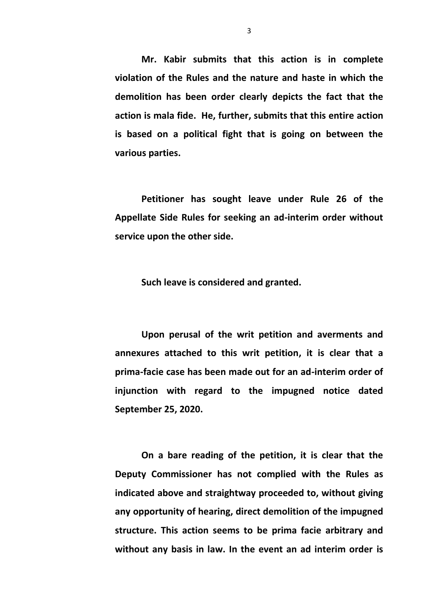**Mr. Kabir submits that this action is in complete violation of the Rules and the nature and haste in which the demolition has been order clearly depicts the fact that the action is mala fide. He, further, submits that this entire action is based on a political fight that is going on between the various parties.** 

**Petitioner has sought leave under Rule 26 of the Appellate Side Rules for seeking an ad-interim order without service upon the other side.**

**Such leave is considered and granted.** 

**Upon perusal of the writ petition and averments and annexures attached to this writ petition, it is clear that a prima-facie case has been made out for an ad-interim order of injunction with regard to the impugned notice dated September 25, 2020.** 

**On a bare reading of the petition, it is clear that the Deputy Commissioner has not complied with the Rules as indicated above and straightway proceeded to, without giving any opportunity of hearing, direct demolition of the impugned structure. This action seems to be prima facie arbitrary and without any basis in law. In the event an ad interim order is**